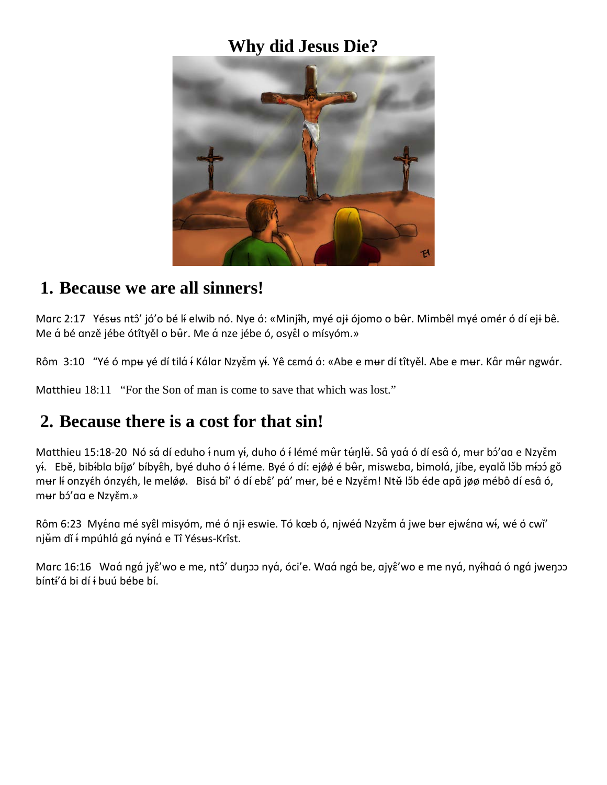#### **Why did Jesus Die?**



#### **1. Because we are all sinners!**

Marc 2:17 Yésus ntô' jó'o bé li elwib nó. Nye ó: «Minjîh, myé aji ójomo o bûr. Mimbêl myé omér ó dí eji bê. Me á bé anzě jébe ótîtyěl o b<del>û</del>r. Me á nze jébe ó, osyêl o mísyóm.»

Rôm 3:10 "Yé ó mpʉ yé dí tilá <del>í</del> Kálar Nzyɛ̌m yɨ. Yê cɛmá ó: «Abe e mʉr dí tîtyěl. Abe e mʉr. Kâr m<del>û</del>r ngwár.

Mɑtthieu 18:11 "For the Son of man is come to save that which was lost."

# **2. Because there is a cost for that sin!**

Matthieu 15:18-20 Nó sá dí eduho i num yi, duho ó i lémé mūr tunlu. Sâ yaá ó dí esâ ó, mur bó'aa e Nzyem y<del>í</del>. Ebě, bib<del>í</del>bla bíjø' bíby $\hat{\epsilon}$ h, byé duho ó <del>í</del> léme. Byé ó dí: ejøø é b<del>û</del>r, miswɛba, bimolá, jíbe, eyalǎ lɔ̌b mɨɔɔ́ gǒ mur li onzyéh ónzyéh, le meløø. Elisá bî' ó dí ebê' pá' mur, bé e Nzyěm! Ntu lɔ̃b éde apǎ jøø mébô dí esâ ó, mur bɔ'aa e Nzyɛm.»

Rôm 6:23 Myéna mé syêl misyóm, mé ó nji eswie. Tó kœb ó, njwéá Nzyěm á jwe bur ejwéna wí, wé ó cwi' nj<del>ů</del>m dí i mpúhlá gá nyiná e Tî Yésus-Krîst.

Marc 16:16 Waá ngá jyê'wo e me, ntô' duno nyá, óci'e. Waá ngá be, ajyê'wo e me nyá, nyíhaá ó ngá jweno bíntí'á bi dí <del>í</del> buú bébe bí.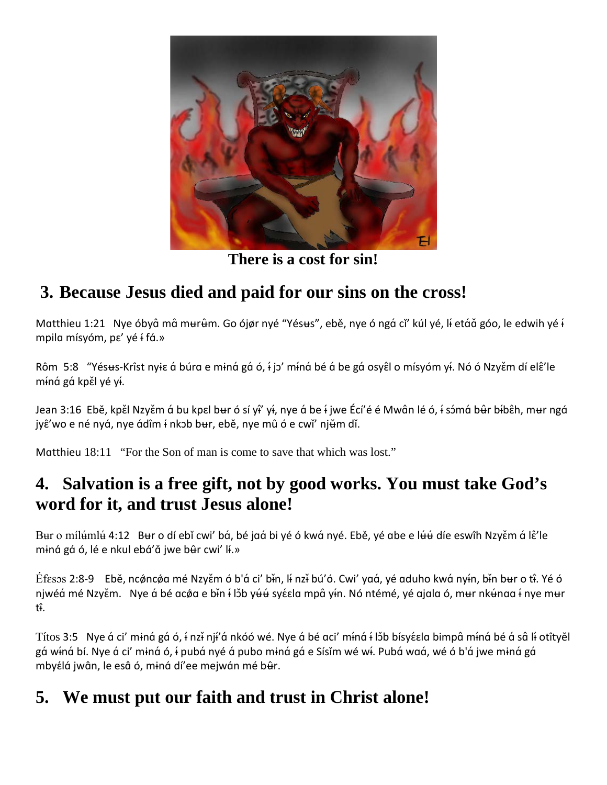

**There is a cost for sin!**

# **3. Because Jesus died and paid for our sins on the cross!**

Matthieu 1:21 Nye óbyâ mâ murûm. Go ójør nyé "Yésus", ebě, nye ó ngá cì' kúl yé, l<del>í</del> etáǎ góo, le edwih yé <del>í</del> mpila mísyóm, pɛ' yé ɨ fá.»

Rôm 5:8 "Yésus-Krîst nyi e á búra e miná gá ó, í jɔ' míná bé á be gá osyêl o mísyóm yí. Nó ó Nzy čm dí el ê'le míná gá kpěl yé yí.

Jean 3:16 Ebě, kpěl Nzyěm á bu kpɛl bʉr ó sí y<del>î'</del> yɨ, nye á be ɨ jwe Écí'é é Mwân lé ó, ɨ sɔ́má b<del>û</del>r bɨbɛ̂h, mʉr ngá jyê'wo e né nyá, nye ádîm <del>í</del> nkɔb bʉr, ebě, nye mû ó e cwǐ' nj<del>ǔ</del>m dǐ.

Matthieu 18:11 "For the Son of man is come to save that which was lost."

#### **4. Salvation is a free gift, not by good works. You must take God's word for it, and trust Jesus alone!**

Bʉr o mílʉ́mlʉ́ 4:12 Bʉr o dí ebǐ cwi' bá, bé jaá bi yé ó kwá nyé. Ebě, yé abe e lʉ́ʉ́ díe eswîh Nzyɛ̌m á lɛ̃'le mɨná gá ó, lé e nkul ebá'ǎ jwe b<del>û</del>r cwi' lɨ.»

Éfɛsɔs 2:8-9 Ebě, ncǿncǿa mé Nzyɛ̌m ó b'á ci' bɨn, lɨ nzɨ bú'ó. Cwi' yaá, yé aduho kwá nyɨn, bɨn bʉr o tɨ̂. Yé ó njwéá mé Nzyɛ̌m. Nye á bé acøa e bᠯn ᠯ lɔ̌b yʉ́ʉ́ syɛ́ɛla mpâ yɨn. Nó ntémé, yé ajala ó, mʉr nkʉ́naa ᠯ nye mʉr tî.

Títos 3:5 Nye á ci' miná gá ó, i nzi nji'á nkóó wé. Nye á bé aci' miná i lbb bísy czla bimpâ miná bé á sâ li otîtyěl gá w<del>í</del>ná bí. Nye á ci' mɨná ó, ɨ pubá nyé á pubo mɨná gá e Sísǐm wé wɨ. Pubá waá, wé ó b'á jwe mɨná gá mbyélá jwân, le esâ ó, miná dí'ee mejwán mé b<del>û</del>r.

# **5. We must put our faith and trust in Christ alone!**